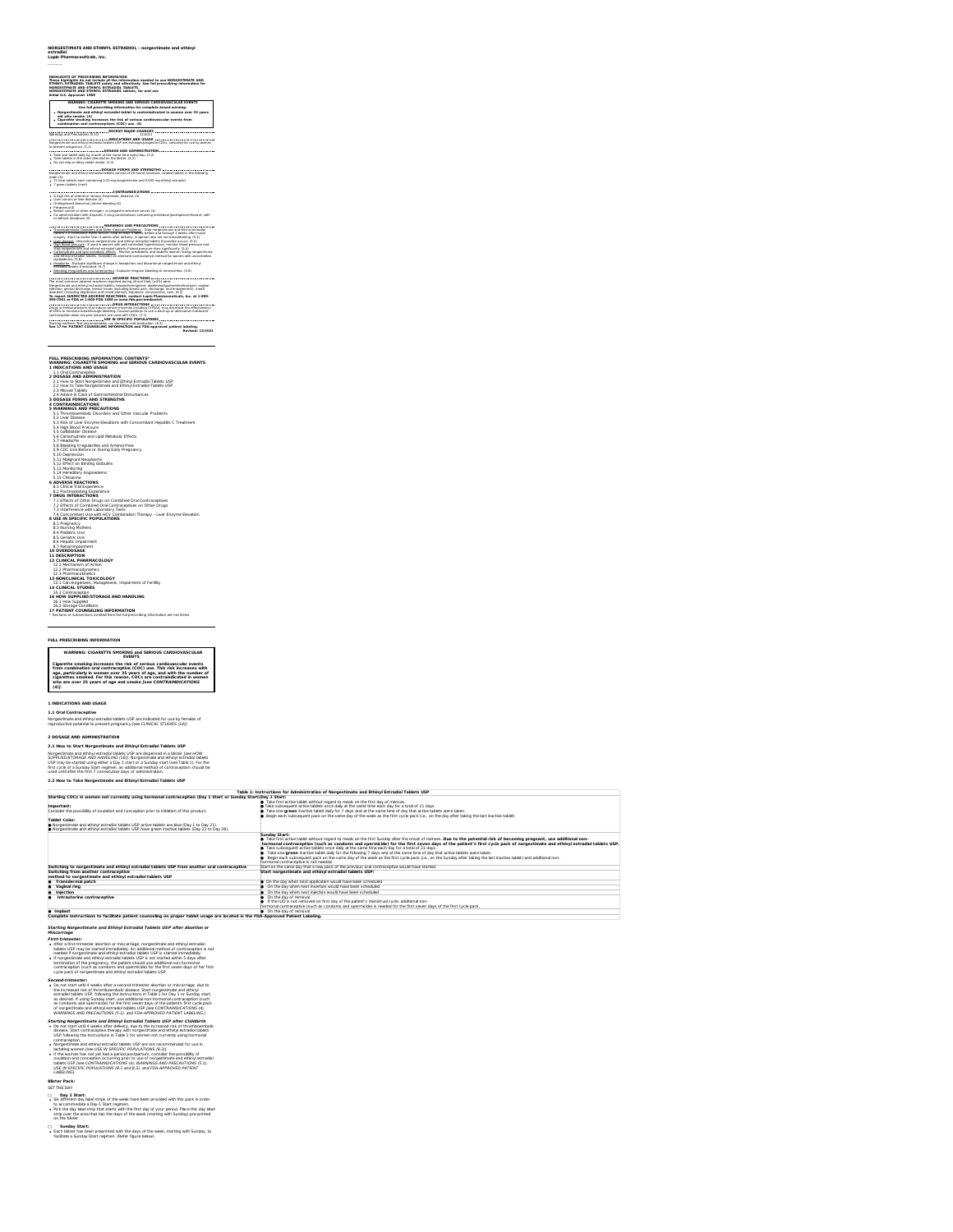**NORGESTIMATE AND ETHINYL ESTRADIOL - norgestimate and ethinyl estradiol Lupin Pharmaceuticals, Inc.**

---------- **HIGHLIGHTS OF PRESCRIBING INFORMATION These highlights do not include allthe information needed to use NORGESTIMATE AND ETHINYL ESTRADIOL TABLETS safely and effectively. See full prescribing information for NORGESTIMATE AND ETHINYL ESTRADIOL TABLETS. NORGESTIMATE AND ETHINYL ESTRADIOL tablets, for oral use Initial U.S. Approval: 1989**

WARNING: CIGARETTE SHONING AND SERIOUS CARDIOVASCULAR EVENTS<br>See full prescribing information for complete boxed warning.<br>Norgestimate and ethinyi estradioi tablet is contraindicated in women over 35 years<br>Cigarette smokin **RECENT MAJOR CHANGES** Warnings and Precautions (5.11) 12/2021 **INDICATIONS AND USAGE** Norgestimate and ethinyl estradiol tablets USP are estrogen/progestin COCs, indicated for use by women

to prevent pregnancy. (1.1) **DOSAGE AND ADMINISTRATION** Take one tablet daily by mouth atthe same time every day. (2.2) Take tablets in the order directed on the blister. (2.2) Do not skip ordelay tablet intake. (2.2)

### **DOSAGE FORMS AND STRENGTHS** Norgestimate and ethinyl estradiol tablets consist of 28 round, biconvex, coated tablets in the following order (3): 21 blue tablets each containing 0.25 mg norgestimate and 0.035 mg ethinyl estradiol

7 green tablets (inert)<br>xxxxxx risk of arterial or venous thrombotic diseases (4)<br>A high risk of arterial or venous thrombotic diseases (4)<br>Undiagnosed abnormal uterine bleeding (4)<br>Pregnancy(4) Abnormal uterine bleeding (

Breast cancer or other estrogen- or progestin-sensitive cancer (4)<br>Co-administration with Hepatitis C drug combinations containing ombi<br>or without dasabuvir (4)

Co-administration with Hepatitis C drug combinations containing ombitasvir/paritaprevir/ritonavir, with **WARNINGS AND PRECAUTIONS** Thromboembolic Disorders and Other Vascular Problems : Stop norgestimate and ethinyl estradiol tablets ifa thrombotic event occurs. Stop atleast 4 weeks before and through 2 weeks after major surgery. Start no earlier than 4 weeks after delivery, in women who are not breastfeeding. (5.1) Liver disease : Discontinue norgestimate and ethinyl estradiol tablets ifjaundice occurs. (5.2) High blood pressure : Ifused in women with well-controlled hypertension, monitor blood pressure and stop norgestimate and ethinyl estradiol tablets ifblood pressure rises significantly. (5.4) Carbohydrate and lipid metabolic effects :Monitor prediabetic and diabetic women taking norgestimate and ethinyl estradiol tablets. Consider an alternate contraceptive method for women with uncontrolled dyslipidemia. (5.6) Headache : Evaluate significant change in headaches and discontinue norgestimate and ethinyl estradiol tablets ifindicated. (5.7) Bleeding Irregularities and Amenorrhea : Evaluate irregular bleeding oramenorrhea. (5.8) **ADVERSE REACTIONS** The most common adverse reactions reported during clinical trials (≥2%) were: Norgestimate and ethinyl estradiol tablets: headache/migraine, abdominal/gastrointestinal pain, vaginal infection, genital discharge, breast issues (including breast pain, discharge, and enlargement), mood disorders (including depression and mood altered), flatulence, nervousness, rash. (6.1) **To report SUSPECTED ADVERSE REACTIONS, contact Lupin Pharmaceuticals, Inc. at 1-800- 399-2561 or FDA at1-800-FDA-1088 or www.fda.gov/medwatch. DRUG INTERACTIONS** Drugs or herbal products that induce certain enzymes including CYP3A4, may decrease the effectiveness of COCs or increase breakthrough bleeding. Counsel patients to use <sup>a</sup> back-up oralternative method ofcontraception when enzyme inducers are used with COCs. (7.1) **USE IN SPECIFIC POPULATIONS** Nursing mothers: Not recommended; can decrease milk production. (8.3) **See 17 for PATIENT COUNSELING INFORMATION and FDA-approved patient labeling. Revised: 12/2021**

### **FULL PRESCRIBING INFORMATION: CONTENTS\* WARNING: CIGARETTE SMOKING and SERIOUS CARDIOVASCULAR EVENTS**

1 INDICATIONS AND USAGE<br>2 DOSAGE AND ADMINISTRATION<br>2 DOSAGE AND ADMINISTRATION<br>2.1 How to Start Norgestinate and Ethinyi Estradiol Tablets USP<br>2.3 Missed Tablets<br>2.3 Missed Tablets

2.4 Advice Case of Gastrointelinal Disturbances<br>**2.6 Advice Case of Gastrointelinal Disturbances**<br>**5. Whatelings Advice The State Case of State Problems**<br>5. 1. Thromboembalc Distorters and Other Vasculte Problems<br>5. 1. Thr

- 
- 

5.8 Blooding Irrogulariteix and Amenocrhea<br>5.9 COC Lise Before or During Early Pregnancy<br>5.10 Depression<br>5.11 Malgnant Neoplasms<br>5.11 Malgnant Neoplasms<br>5.25 Mentanny Angioedema<br>5.3 Polytmar Reactor Dess<br>6.2 Postmarketing

- 
- **6 ADVERSE REACTIONS**
- 

**7 Deliver Press, Christopher Combined Draft Contractions<br>
7 January - Christian Combined Draft Contractions on the Drugs<br>
7 January - Christian Combined Draft Contractions on the Drugs<br>
7 January - Liver Sections<br>
8 Janua** 

- 
- 

### 12.1 Mechanism of Action<br>12.2 Pharmacodynamics<br>12.3 Pharmacokinetics

13 MONCIMICAL TOXICOLOGY<br>13 M.C. Carlos Carlos Matagonesis, impairment of Fertility<br>14 M.C. Carlos Carlos Carlos Matagonesis, impairment of Fertility<br>14 M.C. Carlos Carlos Carlos Mathematical<br>15 M. How Suppled<br>17 March Car

### **FULL PRESCRIBING INFORMATION**

WARMING: CIGARETTE SHOPME and SERIOUS CARDIOVASCULAR<br>Cigarette smoking increases the relation of the conditions conditions of the condition<br>superparticularly in women over 35 years of age, and with the number of<br>sign parti

### **1 INDICATIONS AND USAGE**

**1.1 Oral Contraceptive**<br>Norgestimate and ethinyl estradiol tablets USP are indicated for use by females of<br>reproductive potential to prevent pregnancy *[see CLINICAL STUDIES (14)].* 

### **2 DOSAGE AND ADMINISTRATION**

**2.1 How to Start Norgestimate and Ethinyl Estradiol Tablets USP**

Norgestimale and ethniq estradio Labiets USP are disponsed in a bloter Jean-Polly<br>SUPPLIED/STORAGE AND HANDLING (16)). Norgestimate and ethiny lestradio Labiets<br>USP may be started using other a Day 1 start or a Sunday star

|                                                                                                             | Table 1: Instructions for Administration of Norgestimate and Ethinyl Estradiol Tablets USP                                                                            |
|-------------------------------------------------------------------------------------------------------------|-----------------------------------------------------------------------------------------------------------------------------------------------------------------------|
| Starting COCs in women not currently using hormonal contraception (Day 1 Start or Sunday Start)Day 1 Start: |                                                                                                                                                                       |
|                                                                                                             | Take first active tablet without regard to meals on the first day of menses.                                                                                          |
| Important:                                                                                                  | Take subsequent active tablets once daily at the same time each day for a total of 21 days.                                                                           |
| Consider the possibility of ovulation and conception prior to initiation of this product.                   | Take one green inactive tablet daily for 7 days and at the same time of day that active tablets were taken.                                                           |
|                                                                                                             | Begin each subsequent pack on the same day of the week as the first cycle pack (i.e., on the day after taking the last inactive tablet)                               |
| <b>Tablet Color:</b>                                                                                        |                                                                                                                                                                       |
| Norgestimate and ethinyl estradiol tablets USP active tablets are blue (Day 1 to Day 21).                   |                                                                                                                                                                       |
| Norgestimate and ethinyl estradiol tablets USP have green inactive tablets (Day 22 to Day 28).              |                                                                                                                                                                       |
|                                                                                                             | Sunday Start:                                                                                                                                                         |
|                                                                                                             | Take first active tablet without regard to meals on the first Sunday after the onset of menses. Due to the potential risk of becoming pregnant, use additional non-   |
|                                                                                                             | hormonal contraception (such as condoms and spermicide) for the first seven days of the patient's first cycle pack of norgestimate and ethinyl estradiol tablets USP. |
|                                                                                                             | Take subsequent active tablets once daily at the same time each day for a total of 21 days.                                                                           |
|                                                                                                             | Take one green inactive tablet daily for the following 7 days and at the same time of day that active tablets were taken.                                             |
|                                                                                                             | Begin each subsequent pack on the same day of the week as the first cycle pack (i.e., on the Sunday after taking the last inactive tablet) and additional non-        |
|                                                                                                             | hormonal contracentive is not needed                                                                                                                                  |
| Switching to norgestimate and ethinyl estradiol tablets USP from another oral contraceptive                 | Start on the same day that a new pack of the previous oral contraceptive would have started.                                                                          |
| Switching from another contraceptive                                                                        | Start norgestimate and ethinyl estradiol tablets USP:                                                                                                                 |
| method to norgestimate and ethinyl estradiol tablets USP                                                    |                                                                                                                                                                       |
| <b>Transdermal patch</b>                                                                                    | On the day when next application would have been scheduled                                                                                                            |
| Vaginal ring                                                                                                | On the day when next insertion would have been scheduled                                                                                                              |
| Injection                                                                                                   | On the day when next injection would have been scheduled                                                                                                              |
| Intrauterine contraceptive                                                                                  | On the day of removal                                                                                                                                                 |
|                                                                                                             | If the IUD is not removed on first day of the patient's menstrual cycle, additional non-                                                                              |
|                                                                                                             | hormonal contraceptive (such as condoms and spermicide) is needed for the first seven days of the first cycle pack.                                                   |
| <b>A</b> Important                                                                                          | A On the day of compuel                                                                                                                                               |

WARNINGS ARE PRESENTED AND THE USE OF THE VAPORATION PATTIFIC HARMONIC AND PRESENT OF THE USE OF THE VALUE OF THE VALUE OF THE VALUE OF THE VALUE OF THE VALUE OF THE VALUE OF THE VALUE OF THE VALUE OF THE VALUE OF THE VAL

**Blister Pack:**<br>C = Day 1 Start:<br>*C* = Day 1 Start: bel strips of the week have been provided with this pack in order<br>• Pack: the day blad strip-1 Start regimen.<br>• Day commissions a Day-1 Start regimen.<br>City power the area

□ **Sunday Start:**<br>● Each blister has been preprinted with the days of the week, starting with Sunday, to<br>facilitate a Sunday-Start regimen. (Refer figure below).

# 0 Implant (1995) . On the day of removal<br>Complete instructions to facilitate patient counseling on proper tablet usage are located in the FDA-Approved Patient Labeling.

### **Starting Norgestimate and Ethinyl Estradiol Tablets USP after Abortion or Miscarriage**

# **First-Frimester**<br>**First-Trimester shortlom or miscaritying, nongazitansk and chinal extradius**<br>**• After STEA constant and chinal properties and constant and constant in the state<br>of the properties and dehivie estration ta**

# **Second-trimester:**<br> **Constant in the last state in second-trimester abortion or micraringe, due to the locked of lick of thromboens belief disease. Start norgastimals and diringly start<br>
disease of lick of the last state**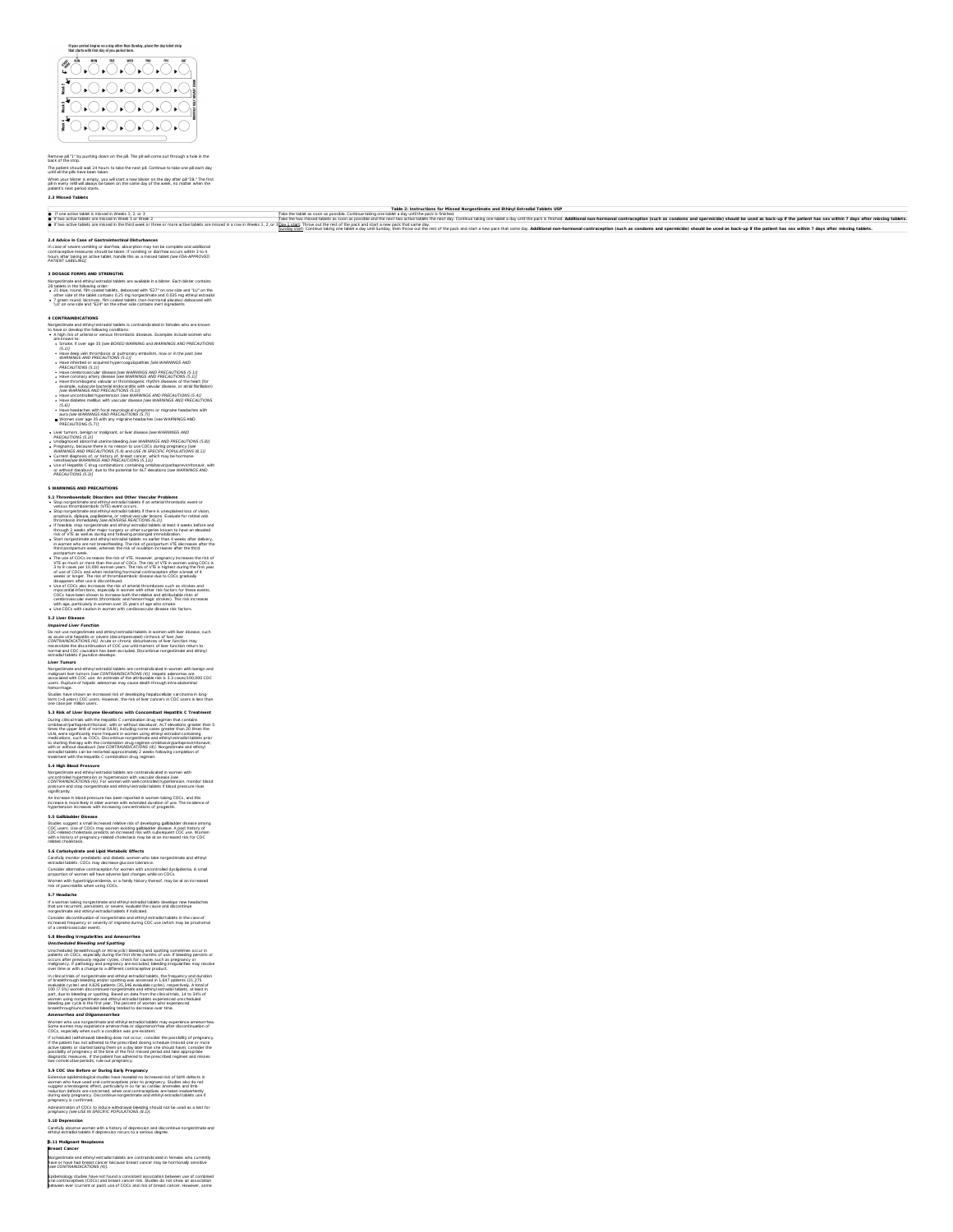### If your period begins on a day other than Sunday, place the day label strip<br>that starts with first day of you period bere.



### Remove pill "1" by pushing down on the pill.The pill will come out through a hole in the back of the strip.<br>until all the plis have been taken.<br>Until all the plis have been taken.<br>When your blister is empty, you will start a new blister on the day after pill "28." The first<br>When your blister is empty, you will

**2.3 Missed Tablets**

### e if one active tablet in material and Ethinyl Estradiol Tablets USP Take the state on a possible. Continue tablet as soon as possible. Continue tablet as soon as possible. Continue tablet as such a tablet a state of the **D** If two active tablet is missed in Weeks 1, 2, or 3 $\blacksquare$  If two active tablets are missed in Week 1, or Week 2,<br>If two active tablets are missed in the third week or three or new

.<br>You taking one tablet a day until the pack is finished. Additional non-hormonal contraception (such as condoms and spermicide) should be used as back-up if the patient has sex within 7 days after missing tablets

Sunday start: Continue taking one tablet a day until Sunday, then throw out the rest of the pack and start a new pack that same day. Additional non-hormonal contraception (such as condoms and spermicide) should be used as

**2.4 Advice in Case of Gastrointestinal Disturbances**<br>In case of severe vomiting or diarrinos, absorption may not be complete and additional<br>ioontraceptive measures should be taken. If vomiting or diarrinea occurs within 3

3 DOSAGE FORMS AND STRENGTHS<br>Room and Mark Communications and advanced with the State . Each bilitar contains<br>26 Islands in the following order.<br>• 3 I slue, round, film coated tablets., deborsed with "E37" on one side and

**4 CONTRAINMONTATION**<br> **CONTRAINMONT** CONTRACT CONTRACT CONTRACT CONTRACT CONTRACT CONTRACT CONTRACT CONTRACT CONTRACT CONTRACT CONTRACT CONTRACT CONTRACT CONTRACT CONTRACT CONTRACT CONTRACT CONTRACT CONTRACT CONTRACT CON

- 
- 
- 
- 
- 
- 
- 
- 
- 
- 
- 
- 

- 
- 
- 
- 
- 

- WARMINGS AND PRECAUTIONS<br>
21. The embedding of the CAC contents and Other Varicular Problams<br>
2. The embedding of the contents and Other Varicular Problams<br>
2. The embedding of the contents of the state of the contents of
- 

impaired Liver Function<br>Do not use nongestimate and ethinyi estradio tablets in women with liver disease, such<br>CONTRANINCATIVIONS (a)), Accule or chronic distributions of ther function may<br>necessitate the discordination of

Norgestimate and ethinyl estradiol tablets are contraindicated in women with benign and<br>malignant liver tumors (see CONTRANIDICATIONS (4)). Hepatic adenomas are<br>associated with COC use. An estimate of the attributable risk

### Studies have shown an increased risk of developing hepatocellular carcinoma in long-<br>term (>8 years) COC users. However, the risk of Iver cancers in COC users is less than<br>one case per million users.

3.3. Rikk of Libert Empirem Baveklates with Concentrate Hepathtic Creationent<br>Current Crisis with the Hepathtic Combination during regime that contains<br>the characteristic properties of the region of the region of the cont

**5.4 High Blood Pressure**

Neopelaneas and effiny lest adeilables are contraintabled in women with<br>COVITABLAND and the proposition of the state of the state of the series and the proposition of the state of th<br>pressure and stop norgestimate and ethi

5.3 Gallbladder Disease<br>Studies suggest a small increased relative risk of developing gallbladder disease among<br>CDC users. Lise of COCc may worsen existing gallbladder disease. A past history of<br>CDC-related cholestasis pre

5.4 Carbohydrade and Lightl Metabolic Effects<br>Caroluly monter prediabelic and diabelic women who take norgestimate and ethinyl<br>estradial tablets. COCs may decrease glucose bolicance.<br>Consider alternative contracepton for w

**5.7 Headache**

### If a woman taking norgestimate and ethinyl estradiol tablets develops new headaches<br>that are recurrent, persistent, or severe, evaluate the cause and discontinue<br>norgestimate and ethinyl estradiol tablets if indicated.

Consider discontinuation of norgestimate and ethinyl estradiol tablets in the case of<br>increased frequency or severity of migraine during COC use (which may be prodromal<br>of a cerebrovascular event). increased frequency or severity ofmigraine during COC use (which may be prodromal

3.4 Blooding responsible and American contributions of the method of the state of the state of the state of the state of the state of the state of the state of the state of the state of the state of the state of the state

Extensive epidemiological studies have revealed no increased risk of birth defects in<br>women who have used oral contraceptives prior to pregnancy. Studies also do not<br>suggest a teratogenic effect, particularly in so far as

Administration of COCs to induce withdrawal bleeding should not be used as a test for<br>pregnancy [see USE IN SPECIFIC POPULATIONS (8.1)].

**5.10 Depression**<br>Carefuly observe women with a history of depression and discontinue norgestimate and<br>ethinyl estradiol tablets if depression recurs to a serious degree.

### **5.11 Malignant Neoplasms Breast Cancer**

Norgestimate and ethinyl estradiol tablets are contraindicated in females who currently<br>have or have had breast cancer because breast cancer may be hormonally sensitive<br>Isee CONTRAINIDICATIONS (4)].

Epidemiology studies have not found a consistent association between use of combined<br>oral contraceptives (COCs) and breast cancer risk. Studies do not show an association<br>between ever (current or past) use of COCs and risk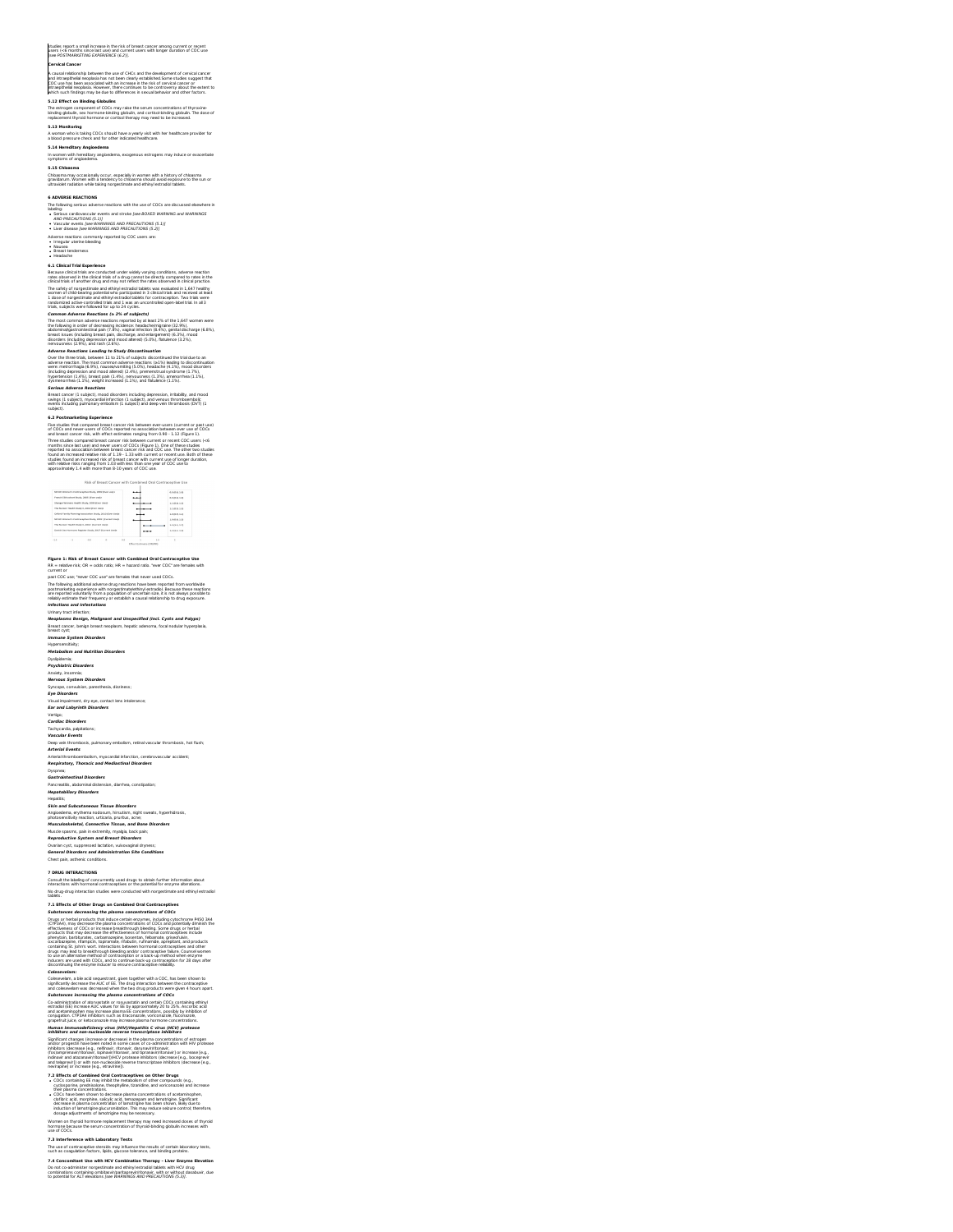### studies report a small increase in the risk of breast cancer among current or recent<br>users (<6 months since last use) and current users with longer duration of COC use<br>[see POSTMARKETING EXPERIENCE (6.2)].

### **Cervical Cancer**

A causal relationship between the use of CHCs and the development of cervical cancer<br>and intraspithelal neoplasia has not been clearly established. Some studies suggest that<br>COC use has been associated with an increase in

**5.12 Effect on Binding Globulins**

### The estrogen component of COCs may raise the serum concentrations of thyroxine-<br>binding globulin, sex hormone-binding globulin, and cortisol-binding globulin. The dose of<br>replacement thyroid hormone or cortisol therapy may

### **5.13 Monitoring**<br>A woman who is taking COCs should have a yearly visit with her healthcare provider for<br>a blood pressure check and for other indicated healthcare.

**5.14 <b>Hereditary Angioedema**<br>In women with hereditary angioedema, exogenous estrogens may induce or exacerbate<br>symptoms of angioedema.

**5.15 Chloasma**

### Chloasma may occasionally occur, especially in women with a history of chloasma<br>gravidarum. Women with a tendency to chloasma should avoid exposure to the sun or<br>ultraviolet radiation while taking norgestimate and ethinyl

**6 ADVERSE REACTIONS**<br>The following serbus adverse reactions with the use of COCs are discussed elsewhere in<br>he singular cardiovascular events and streke [see BOXED WARNING and WARNINGS<br>• Serbus cardiovascular events and s

Adverse reactions commonly reported by COC users are:<br>• Irregular uterine bleeding<br>• Nausea<br>• Headache

**6.1 Clinical Trial Experience**

# Because clinical trials are conducted under widely varying conditions, adverse reaction<br>rates observed in the clinical trials of a drug cannot be directly compared to rates in the<br>clinical trials of another drug and may no alles the main of the financial and diffusive procedure and the main of the main of the main of the main of the main of the main of the main of the main of the main of the main of the main of the main of the main of the m

swings (1 subject), myocardial infarction (1 subject), and venous thromboembolic<br>events including pulmonary embolism (1 subject) and deep vein thrombosis (DVT) (1<br>subject).

6.2 Pentamaketing Speelwine Concerns the between ever users (current or past use)<br>The studies that compared breast carcer risk between ever users (current or past use)<br>The studies carcer risk, when the concernsion respect

### **Risk of Breast Cancer with Co**

# Figure 1: It likk of Breast Cancer with Combined Oral Contractephe Use<br>18. – Italien Fisk, OF, – olds ratio; HR – hazard ratio, "our COC", are females with<br>19. – Fabric Fisk, Oral Contractes and females that never used CO

infections and infectations<br>Weaples are presented in the state of the state of the Strain of Polyps)<br>Weaples are beings, realized and Unspections (healt Corpits and Polyps)<br>Breast cycle<br>Herabadism and Nutrition Disorders<br>M

Dyslipidemia; **Psychiatric Disorders** Anxiety, insomnia; **Nervous System Disorders** Syncope, convulsion, paresthesia, dizziness; **Eye Disorders Ear and Labyrinth Disorders**

Visual impairment, dry eye, contact lens intolerance;

Vertige Disorders<br>Cardise Disorders<br>Cardise Disorders<br>Vascular Peertis<br>Vascular Peertis<br>Marcular Peertis<br>Marcular Peertis<br>Marcular Peertis , putning embodien, relative location incredible<br>Marcular Peertis , above that the

**7 DRUG INTERACTIONS**<br>Consult the babiling of concurrently used drugs to obtain further information about<br>interactions with hormonal contraceptives or the potential for enzyme alterations.<br>No drug-drug interaction studies

 $7.1$  Effects of ONe DV page on Combined Order Concerns phone and the Concerns of the Concerns of the Concerns of the Concerns of the Concerns of the Concerns of the Concerns of the Concerns of the Concerns of the Concern

Celescevellam, a bit acti sequestrant, given together with a COC, has been shown to<br>collectedly activities the ALC of EL. This angle for activities the contracted particle and the state of the A<br>substitute the state of the

Measure in an analyzed free particular the particular Control of the particular structure in the structure of the structure of the structure of the structure of the structure of the structure of the structure of the struc

hormone because the serum concentration of thyroid-binding globulin increases with use of COCs.

**7.3 Interference with Laboratory Tests**<br>The use of contraceptive steroids may influence the results of certain laboratory tests,<br>such as coagulation factors, lipids, glucose tolerance, and binding proteins. 7.4 Concomitant Use with HCV Combination Therapy - Liver Enzyme Blevation<br>Do not co-administer norgestimate and ethinyl estradiol tablets with HCV drug<br>combinations containing ombitasvirjparitaprewir/honavir, with or witho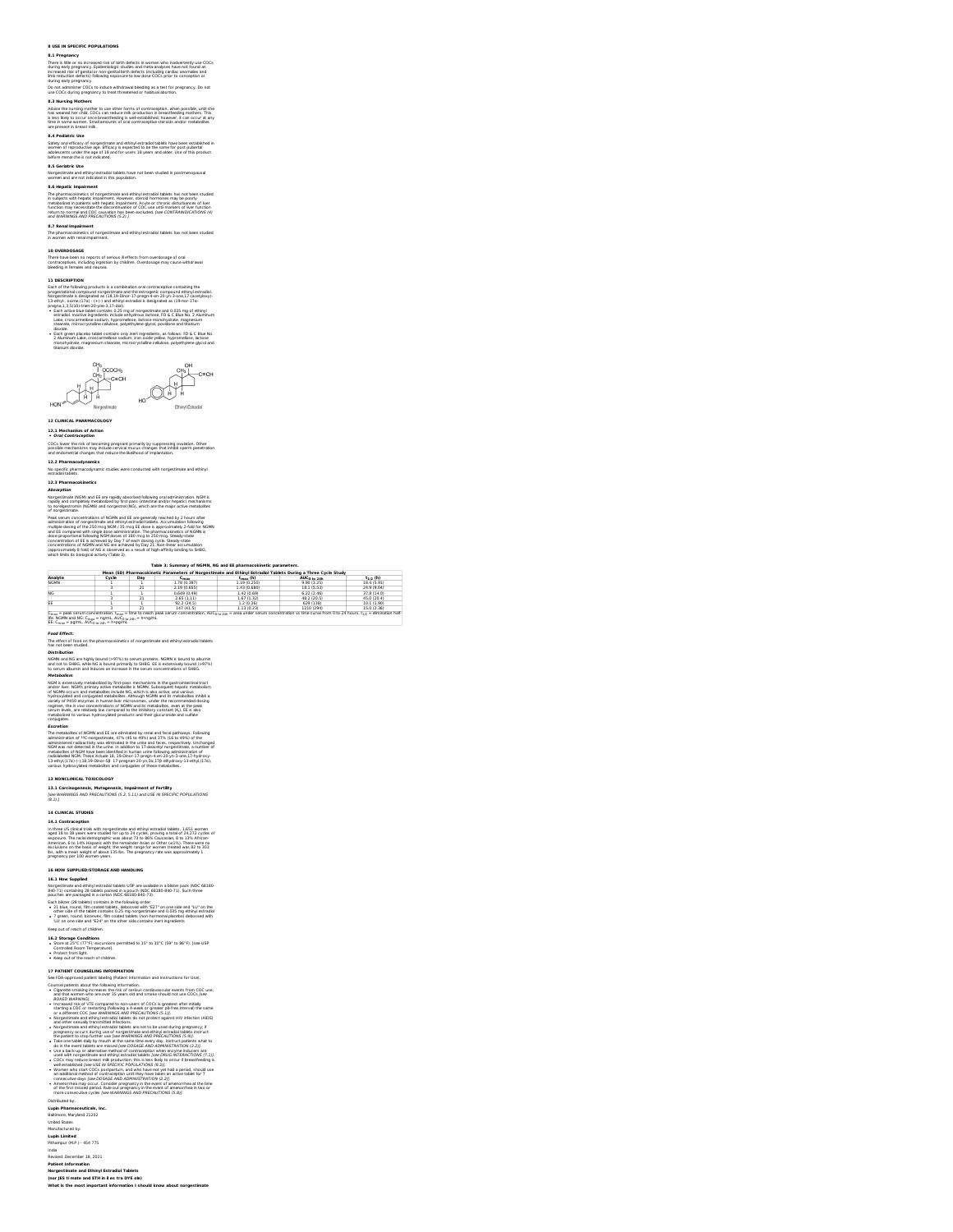### **8 USE IN SPECIFIC POPULATIONS**

**8.1 Pregnancy**<br>There is 18te or no increased risk of birth defects in women who inadvertently use COCs<br>Increased risk of gental or non-peninsia latin defects (focular) costales accepts<br>International field of gental or low

8.3 Mursing Mothers<br>has weared the most problem to use other forms of contraception, when possible, until she<br>has weared her child. COCs can reduce milk production in breastfeating mothers. This<br>lis less likely to occur on

**8.4 Pediatric Use**<br>Safety and efficacy of norgestimate and ethinyl estradiol tablets have been established in<br>wiomen of reproductive age. Efficacy is expected to be the same for post pubertal<br>adolescents: under the age of

**8.5 Geriatric Use**

Norgestimate and ethinyl estradiol tablets have not been studied in postmenopausal<br>women and are not indicated in this population. **8.6 Hepatic Impairment**

The pharmacokinetics of norgestimate and ethinyl estradiel tablets has not been studied<br>in subjects with hepatic impairment. However, steroid hormones may be poorly<br>metabolized in patients with hepatic impairment. Acute or

**8.7 Renal <b>Impairment**<br>The pharmacokinetics of norgestimate and ethinyl estradiol tablets has not been studied<br>in women with renal impairment.

**10 OVERDOSAGE**<br>There have been no reports of serious ill effects from overdosage of oral<br>contraceptives, including ingestion by children. Overdosage may cause withdrawal<br>bleeding in females and nausea.

I) **OBCAUTION**<br>
In detection of a scription of all continuation of a continuation containing that the Monte of the Robert products is designed by (11,33 Dec). The specifical set of the Southern of the Southern of the Sout



12.1. **Mechanism of Action**<br>• **Oral Contraception**<br>COCs lower the risk of becoming pregnant primarily by suppressing ovulation. Other<br>possible mechanisms may include cervical mucus changes that inhibt sperm penetration<br>and

**12.2 <b>Pharmacodynamics**<br>No specific pharmacodynamic studies were conducted with norgestimate and ethinyl<br>estradiol tablets.

11.3 Pharmacekhecks<br>**Also primes which is a** EX per rapidly placer best following oral administration. NGM is a<br>discographical fields and EX per rapidly placer best following oral administration. NGM is<br>the more proportio

**Table 3:Summary of NGMN, NG and EE pharmacokinetic parameters. Mean (SD) Pharmacokinetic Parameters of Norgestimate and Ethinyl Estradiol Tablets During a Three Cycle Study**

| Analyte                                                         | Cycle | Day | <b>Sandy</b> | $t_{max}$ (h) | AUC <sub>0 to 24h</sub>                                                                                                                                                                                                                | $t_{1/2}$ (h) |
|-----------------------------------------------------------------|-------|-----|--------------|---------------|----------------------------------------------------------------------------------------------------------------------------------------------------------------------------------------------------------------------------------------|---------------|
| NGMN                                                            |       |     | 1.78 (0.397) | 1.19 (0.250)  | 9.90 (3.25)                                                                                                                                                                                                                            | 18.4 (5.91)   |
|                                                                 |       | 21  | 2.19 (0.655) | 1.43 (0.680)  | 18.1 (5.53)                                                                                                                                                                                                                            | 24.9 (9.04)   |
| NG.                                                             |       |     | 0.649(0.49)  | 1.42 (0.69)   | 6.22(2.46)                                                                                                                                                                                                                             | 37.8 (14.0)   |
|                                                                 |       |     | 2.65(1.11)   | 1.67(1.32)    | 48.2 (20.5)                                                                                                                                                                                                                            | 45.0 (20.4)   |
|                                                                 |       |     | 92.2 (24.5)  | 1.2 (0.26)    | 629 (138)                                                                                                                                                                                                                              | 10.1 (1.90)   |
|                                                                 |       |     | 147 (41.5)   | 1 13 (0 23)   | 1210 (294)                                                                                                                                                                                                                             | 15.0 (2.36)   |
|                                                                 |       |     |              |               | C <sub>max</sub> = peak serum concentration, t <sub>max</sub> = time to reach peak serum concentration, AUC <sub>0 to 24h</sub> = area under serum concentration vs time curve from 0 to 24 hours, t <sub>1/2</sub> = elmination half- |               |
| ife. NGMN and NG: Coney = ng/mL, AUCo to zey = h *ng/mL         |       |     |              |               |                                                                                                                                                                                                                                        |               |
| EE: C <sub>max</sub> = pg/mL, AUC <sub>0 to 24h</sub> = h+pg/mL |       |     |              |               |                                                                                                                                                                                                                                        |               |

les Maria and ISC Ca<sub>rra</sub>. - naphyl. Abl<sub>icatio</sub>n.<br>**Re-Carra - Egittic, Ablic<sub>ation</sub>. - hangers.**<br>The effect of food on the pharmaceutratics of nongestimate and ethny estratistic failets.<br>The effect of food on the pharmace

Work is extensively metabolisted by first-pass mechanismis in the gastrothetistical tract<br>wideline, which is primary active metabolistic field<br>We additional constraints and constraints are constructed in the state<br>property

The metabolises of MGMH and EE are eliminated by reall and focal pathways. Following<br>administration of <sup>14</sup>C-neargest mask, 47% (45 to 49%) and 37% (16 to 49%) of the<br>annexing and detected in the urino in addition to 37-d

**13 NONCLINICAL TOXICOLOGY 13.1 Carcinogenesis, Mutagenesis, Impairment of Fertility** [see WARNINGS AND PRECAUTIONS (5.2, 5.11) and USE IN SPECIFIC POPULATIONS (8.1).]

**14 CLINICAL STUDENTS**<br>**14 CLINICAL STUDENTS**<br>In three US clients with nonparticular and ethiopic extraded tables. 1.651 women<br>in three US clients with methods for use about 710 as Bright as brand of 24.277 cycles of<br>prop

**16 HOW SUPPLIED/STORAGE AND HANDLING 16.1 How Supplied** Norgestimate and ethinyl estradiol tablets USP are available in a blister pack (NDC 68180- 840-71) containing 28 tablets packed in a pouch (NDC 68180-840-71). Such three pouches are packaged in a carton (NDC 68180-840-73). Each blister (28 tablets) contains in the following order: 21 blue, round, film coated tablets, debossed with "E27" on one side and "LU" on the other side ofthe tablet contains 0.25 mg norgestimate and 0.035 mg ethinyl estradiol 7 green, round, biconvex, film coated tablets (non-hormonal placebo) debossed with 'LU' on one side and "E24" on the other side contains inert ingredients

Keep out of reach of children.

**16.2 Storage Conditions**<br>• Stora at 25°C (77°F); excursions permitted to 15° to 30°C (59° to 86°F). [see USP<br>• Controlled Room Temperature].<br>• Keep out of the reach of children.

If Y Partial Context the state of the state of the state of the state of the state of the state of the state of the state of the state of the state of the state of the state of the state of the state of the state of the s

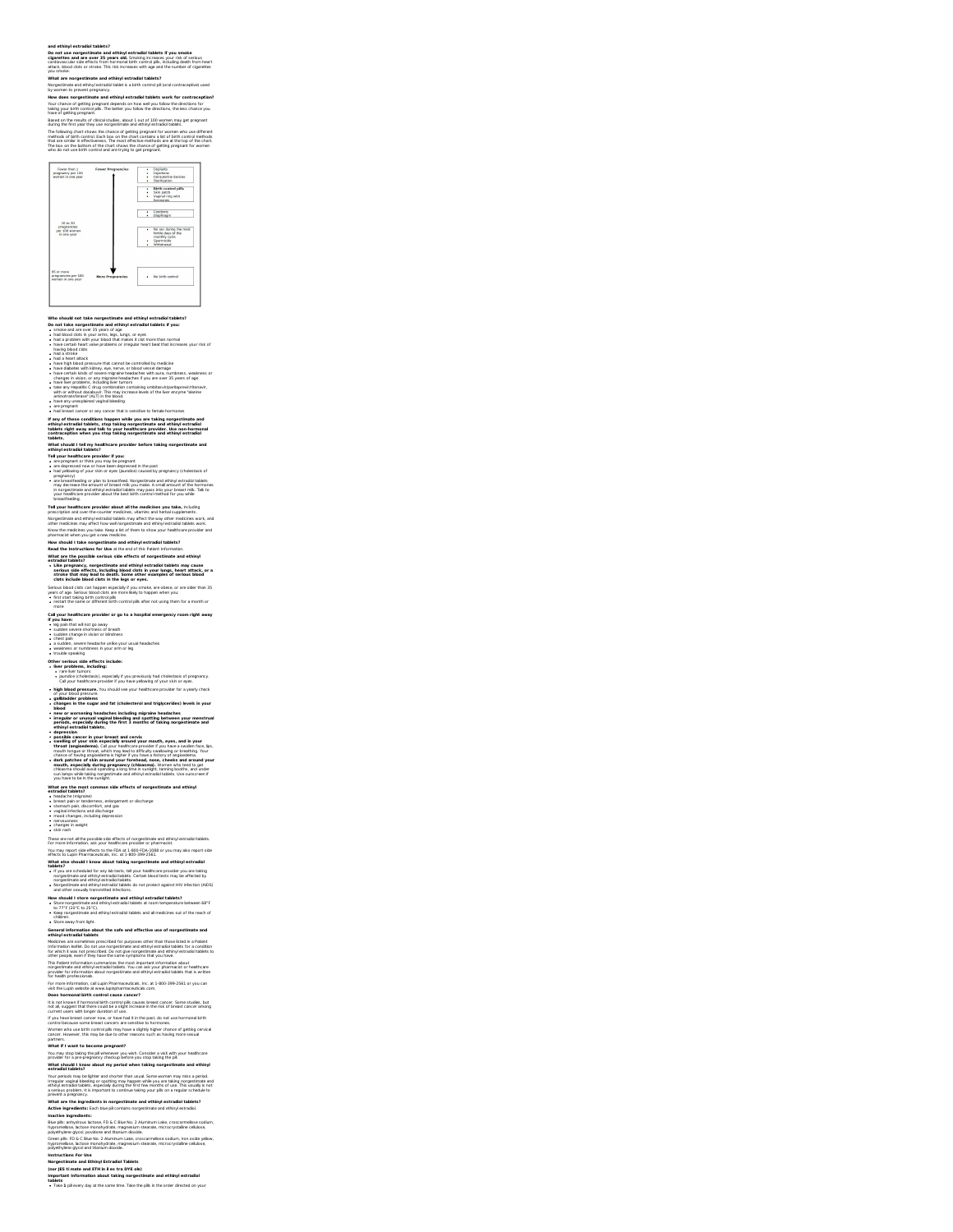# and ethinyi estrazioi tablets?<br>Do not use norgestimate and ethinyi estradioi tablets if you smoke<br>Do not use norgestimate and ethinyi estradioi tablets if you smoke<br>cliquettes and are over 35 years old. Smoking increase yo

is**timate and ethinyl estradiol tablets?**<br>I ethinyl estradiol tablet is a birth control pill (oral contraceptive) used

### y women to prevent pregnancy.<br>Iow does norgestimate and ethinyl estradiol tablets work for contracept

**How does norgestimate and ethinyl estradiol tablets work for contraception?**<br>Your chance of getting pregnant depends on how well you follow the directions for<br>taking your birth control pils. The better you follow the dire

# have of getting pregnant.<br>Based on the results of clinical studies, about 1 out of 100 women may get pregnant<br>during the first year they use norgestimate and ethinyl estradiol tablets.

The following chart shows the chance of getting pregnant for women who use different<br>methods of birth control. Each box on the chart contains a list of birth control methods<br>that are similar in effectiveness. The most effe



Who should not take nonperations and ething is straight allowed by the same of the straight and the straight of the straight of the straight of the straight of the straight of the straight of the straight of the straight

have any unexplained vaginal bleeding<br>are pregnant<br>had breast cancer or any cancer that is sensitive to \* had breast cancer or any cancer that is sensible to female hormones<br>If any of these conditions happen while you are taking norgestimate and<br>ethinyl estradial tabiets, stop baking morpsstinate and ethinyl estradial<br>tabiet

**What should I tell my healthcare provider before taking norgestimate and ethinyl estradiol tablets?**

**Tell your healthcare provider if you:** are pregnant or think you may be pregnant are depressed now or have been depressed in the past had yellowing of your skin or eyes (jaundice) caused by pregnancy (choiestasis of<br>pregnancy)<br>magnancy) comparisons to presented it forgestimate and ethniq estration blacket<br>may especiated a an debth of treation rate you ma

**Tell your healthcare provider about all the medicines you take,** including

greater the main state of the countries methods, where we also the the temperatures.<br>The contract of the contract of the contract of the contract of the contract of the methods were also the method of the contract of the

Call your healthcare provider or go to a hospital emergency room right away<br>• sugain that witned go away<br>• sugain that witned go away<br>• closed nower sheatrast or braines<br>• closed now read and the your usual headaches<br>• clo

**Other serious side effects include:**<br>• **A r** are lost than the series of proposition of the series of programs;<br>• Bundle (cholotizats), especially f you provided by that cholostates of programs;<br>• had your healthcare prov

the concept was are to us a mould see your meathcare provider for a yearly check<br>of your blood pressure.<br>**• gallbladder problems**<br>• changes in the sugar and fat (cholesterol and triglycerides) levels in your<br>• blood

changes in the sugar and fit (choiceter) and triply certain the state in power in the summer of the summer of the state of the state of the state of the state of the state of the state of the state of the state of the stat

What are the most common side effects of norgestimate and ethinyi<br>estradial tablets:<br> $\bullet$  boxed can be constructed in the construction of discharge<br> $\bullet$  boxed can be constructed pair of discharge<br> $\bullet$  cannot pain, disconri

These are not all the procedure identified of nongeotitinate and either the procedure of the procedure of the procedure of the procedure of the procedure of the procedure of the procedure of the procedure of the procedure

How should I store norgestimate and ethinyl estradiol tablets?<br>• Store norgestimate and ethinyl estradiol tablets at room temperature between 68°F<br>• toep norgestimate and ethinyl estradiol tablets and all medicines out of **\*** Keep norgestimate and<br>children.<br>**\*** Store away from light.

Store away from light. **General information about the safe and effective use of norgestimate and ethinyl estradiol tablets**

Medicines are connectives prescribed for purposes other than those listed in a Patient<br>for which was not prescribed. Do not give notperative and ethnic listed in the construction<br>for which it was not prescribed. Do not giv

For most information, call Light Pharmonauticak, inc. 21, 4000-399-2543 or you can<br>be a beyometral back to extract a material control of the control of the control of the stresses of the control and the control of the con

What if I want to become pregnant?<br>You may stop taking the pil whenever you wish. Consider a visit with your healthcare<br>provider for a pre-pregnancy checkup before you stop taking the pil.<br>What should I know about my perio

Your periods may be lighter and shorter than usual. Some women may miss a period.<br>If regular vapinal blanding or spotting may happen while you are taking norspectrums and<br>a series problem. It is mportant to continue taking

**Inactive ingredients:**<br>Blue pilis: anhydrous lastose, FD & C Blue No. 2 Aluminum Lake, croscarmelose sodium,<br>hypromelibse, lactose monohydrate, magnesium stearate, microcrystalline cellulose,<br>polyethylene glycol, povidone

Green plie: FD & C Blue No. 2 Aluminum Lake, croscarmelises sodium, Iron oxide yellow,<br>Prypromelisee, lactose monohydrate, magnesium stearate, microcrystalline cellulose,<br>Instructions For Use<br>Morgestimate and Ethinyl Estra

**(nor JES ti mate and ETH in il es tra DYE ole)** Important Information about taking norgestimate and ethinyl estradiol<br>tablets<br>• Take 1 pil every day at the same time. Take the pils in the order directed on your

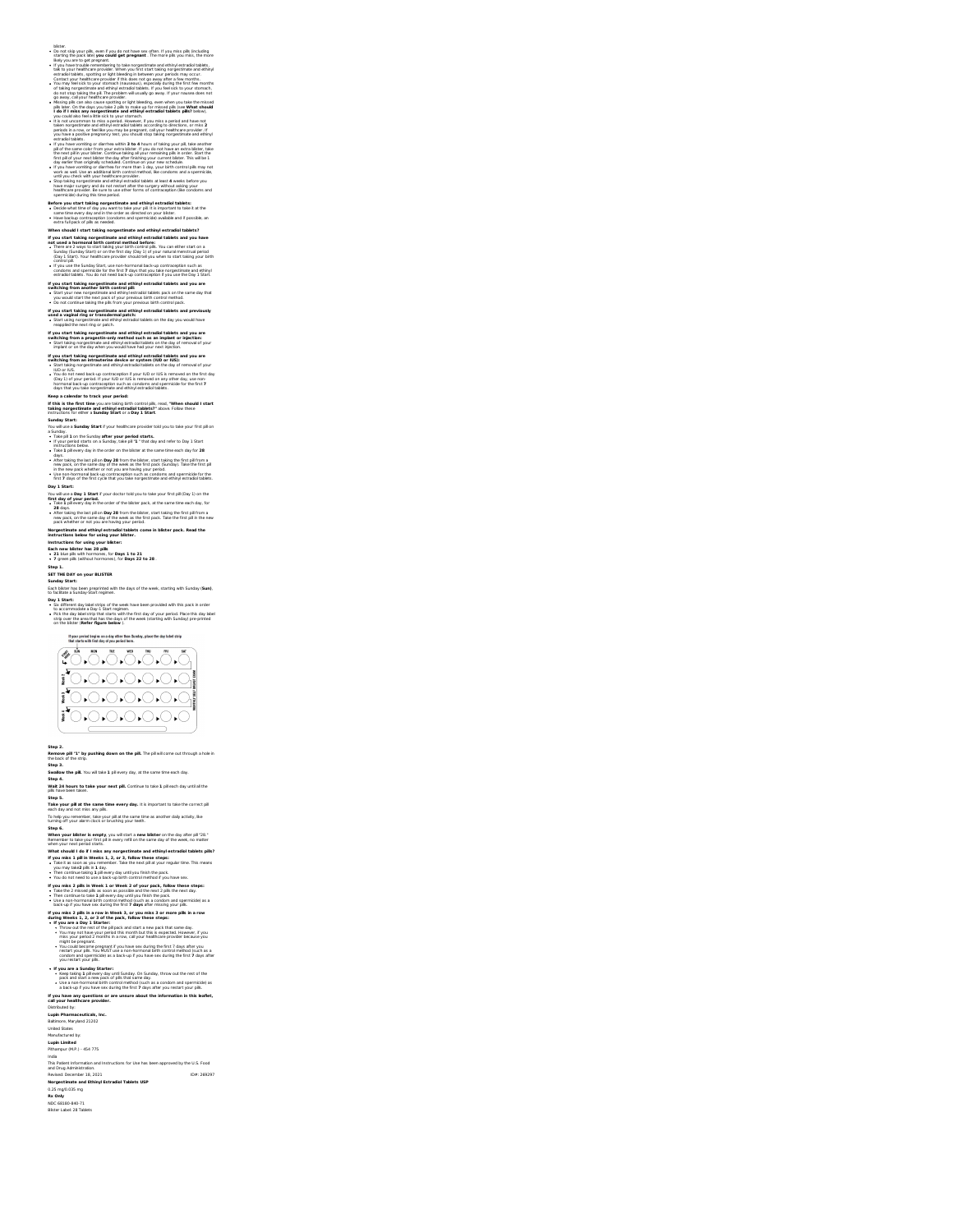## you restart your plik<br>**If you are a Sunday Starter:**<br>• Keep and **Sunday Starter:**<br>• Keep baid of a Tai rever pust, of plits that came day.<br>• It is a non-hormonal birth control method (such as a condom and spermicle) as<br>• I If you have any questions or are unsure about the information in this leaflet,<br>call your healthcare provider. Distributed by:<br>**Lupin Pharmaceuticals, Inc.<br>Baltimore, Maryland 21202<br>United States<br>Manufactured by:<br><b>Lupin Limited**<br>Pithampur (M.P.) - 454 775 India and Drug Administration. uctions for Use has been approved by the U.S. Foo Revised: December 18, 2021<br>**Norgestimate and Ethinyl Estradiol Tablets USP**<br>0.25 mg/0.035 mg<br>NCC 68180-840-71<br>NDC 68180-840-71<br>Blister Label: 28 Tablets

You could become pregnant if you have sex during the first 7 days after you<br>restart your pills. You MUST use a non-hormonal birth control method (such as a<br>condom and spermicide) as a back-up if you have sex during the fir

If you miss 2 pills in Week 1 or Week 2 of your pack, follow these steps:<br>• Take the 2 missed pills as soon as possible and the next day.<br>• Then continue to take 1 pill every day until you finish the pack.<br>• Itse a non-ho If you miss 2 plifs in a row in Week 3, or you miss 3 or more plifs in a row<br>during Weeks 1, 2, or 3 of the pack, follow these steps:<br>  $\bullet$  If you are a Bay 1 Starter:<br>  $\bullet$  You are a Bay 1 Starter in plips is and start a

when your nost period starts.<br>What should I do if I misks any norgestimate and ethinyl estradiol tablets pills?<br>If you miss 1 pli in Weeks 1, 2, or 3, follow these steps:<br>• Take I as 2,000 as you remember. Take the next pi

### **Step 5.**<br>Take your p**ill at the same time every day.** It is important to take the correct pill<br>each day and not miss any plik.<br>To help you remember, take your pill at the same time as another daily activity, like<br>Step 6.<br> **When <b>your blister is empty**, you will start a **new blister** on the day after pill "28."<br>Remember to take your first pill in every refill on the same day of the week, no matter

Step 3.<br>Swallow the pill. You wil take 1 pil every day, at the same time each day.<br>Wall: 24 hours to take your next pill. Continue to take 1 pil each day until all the<br>Walt have been taken.

# **Step 2. Remove pill"1" by pushing down on the pill.** The pill will come out through a hole in the back ofthe strip.

### that starts with first fay of you period here.<br>  $\begin{array}{ccc}\n\text{first} & \text{with} & \text{with} & \text{with} & \text{with} & \text{with} \\
\hline\n\downarrow & \downarrow & \downarrow & \downarrow & \downarrow & \downarrow & \downarrow \\
\downarrow & \downarrow & \downarrow & \downarrow & \downarrow & \downarrow & \downarrow\n\end{array}$  $10000000000$

Each blister has been preprinted with the days of the week, starting with Sunday (**Sun)**, to facilitate a Sunday-Start regimen. Day 1 Start:<br>
• Sk different day label strips of the week have been provided with this pack in order<br>
to accommodate a Day-1 Start regimen.<br>
• Pick the day label strip that starts with the first day of your period. Place t If your period begins on a day other than Sunday, place the day label strip<br>That starts with first day of you needed bere.

### Each new blister has 28 pills<br>+ 21 blue pils with hormones, for Days 1 to 21<br>+ 7 green pils (without hormones), for Days 22 to 28 . **Step 1. SET THE DAY on your BLISTER Sunday Start:**

Norgestimate and ethinyl estradiol tablets come in blister pack. Read the<br>instructions below for using your blister.<br>Instructions for using your blister:

# You will use a **Day 1. Start if** your doctor told you to take your first pli (Day 1) on the<br>**first day of your period.**<br>**First day of your period.**<br>**Also 1** pill every day in the order of the biblistr park, at the same thr

 $*$  Figure profits distribution is Sunday, take pil  $*^2$  " that day and refer to Day 1 Start<br>  $*$  Capture Content selection is a content of the basis at the stars than each day for 2<br>  $*$  Capture Content selection is a c

If you can't finding negroes<br>that we can be a studied proposition and entirely extracted tablets and it you are<br> $\approx 25\%$  in the case of the case of the case of the case of the case of the case of the<br> $\approx 0.000$  life and

**If you start taking norgestimate and ethinyl estradiol tablets and you are** switching from a progestin-only method such as an implant or injection:<br>• Start taking norgestimate and ethinyl estradiol tablets on the day of removal of your implant or on the day when you would have had your next injection.

# If you start taking norgestimate and ethinyl estradiol tablets and previously<br>• Start using in transdermal patch:<br>• Start using norgestimate and ethinyl estradiol tablets on the day you would have<br>• reappled the next ring

a Concelle with the off-projected matrix and space of the proposition to the concellent of the state of the state of the state of the state of the state of the state of the state of the state of the state of the state of

ι κόπου του προσπαθεί της αποτεία το προσπαθεί της αποτεία της αποτείας της αποτείας του προσπαθεί της αποτείας<br>
προσπαθεί της αποτείας το προσπαθεί της αποτείας το προσπαθεί της αποτείας του προσπαθεί του προσπαθεί του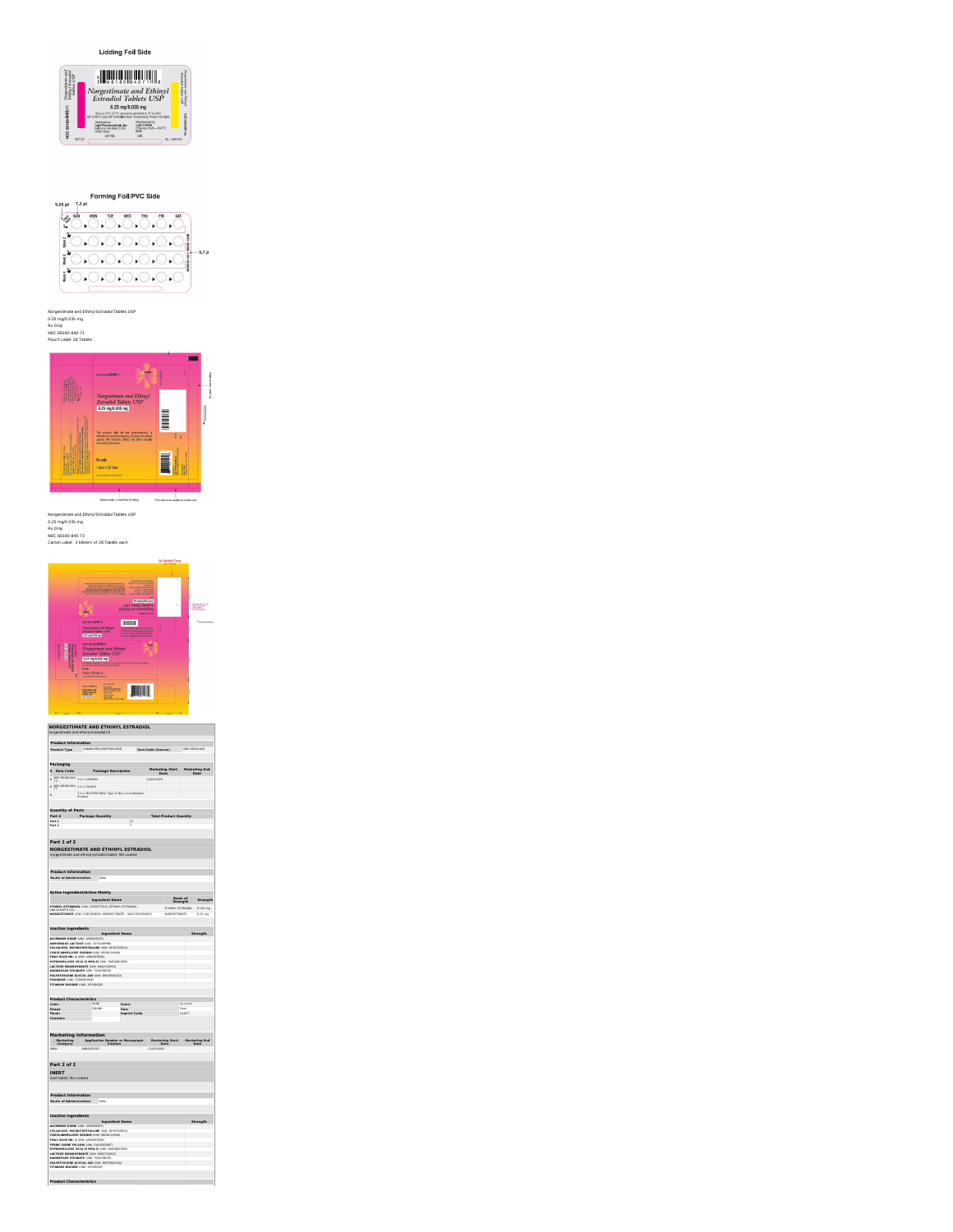|                                                                                                                                                                                                                                                                                                                                                                                                                                                                                                                                                                                                                                    |             |                        | norgestimate and ethinyl estradiol tablet, film coated                                            |            |                            |          |          |
|------------------------------------------------------------------------------------------------------------------------------------------------------------------------------------------------------------------------------------------------------------------------------------------------------------------------------------------------------------------------------------------------------------------------------------------------------------------------------------------------------------------------------------------------------------------------------------------------------------------------------------|-------------|------------------------|---------------------------------------------------------------------------------------------------|------------|----------------------------|----------|----------|
| <b>Product Information</b>                                                                                                                                                                                                                                                                                                                                                                                                                                                                                                                                                                                                         |             |                        |                                                                                                   |            |                            |          |          |
| Route of Administration ORAL                                                                                                                                                                                                                                                                                                                                                                                                                                                                                                                                                                                                       |             |                        |                                                                                                   |            |                            |          |          |
|                                                                                                                                                                                                                                                                                                                                                                                                                                                                                                                                                                                                                                    |             |                        |                                                                                                   |            |                            |          |          |
| <b>Active Ingredient/Active Moiety</b>                                                                                                                                                                                                                                                                                                                                                                                                                                                                                                                                                                                             |             |                        |                                                                                                   |            |                            |          |          |
|                                                                                                                                                                                                                                                                                                                                                                                                                                                                                                                                                                                                                                    |             | <b>Ingredient Name</b> |                                                                                                   |            | Bank of<br><b>Shrennth</b> |          | Strength |
| ETHINYL ESTRADIOL (UNI: 42302TS71U) (ETHINYL ESTRADIOL -<br>UMEA2202TS2110                                                                                                                                                                                                                                                                                                                                                                                                                                                                                                                                                         |             |                        |                                                                                                   |            | <b>STHINGS ESTRADIOS</b>   |          | 0.035 mg |
|                                                                                                                                                                                                                                                                                                                                                                                                                                                                                                                                                                                                                                    |             |                        | MORGESTIMATE (UNI: C291HFX4D1) INDRGESTIMATE - UNII C291HFX4D1)                                   |            | <b>NORGESTIMATE</b>        |          | 0.25 mg  |
|                                                                                                                                                                                                                                                                                                                                                                                                                                                                                                                                                                                                                                    |             |                        |                                                                                                   |            |                            |          |          |
| <b>Inactive Ingredients</b>                                                                                                                                                                                                                                                                                                                                                                                                                                                                                                                                                                                                        |             |                        | <b>Ingredient Name</b>                                                                            |            |                            |          | Strength |
| ALUMINUM OXIDE (UNI: LM2606933)                                                                                                                                                                                                                                                                                                                                                                                                                                                                                                                                                                                                    |             |                        |                                                                                                   |            |                            |          |          |
| <b>MINTEROUS LACTOSE (UNIL 25YSU49PM)</b><br>CELLULOSE, MICROCRYSTALLINE (UNIL OP1932OS1U)                                                                                                                                                                                                                                                                                                                                                                                                                                                                                                                                         |             |                        |                                                                                                   |            |                            |          |          |
| CROSS MINELLOSE SONEM (192) M2011 MAIN                                                                                                                                                                                                                                                                                                                                                                                                                                                                                                                                                                                             |             |                        |                                                                                                   |            |                            |          |          |
| FDGC BLUE NO. 2 (UNIL LOGKER7DOC)                                                                                                                                                                                                                                                                                                                                                                                                                                                                                                                                                                                                  |             |                        |                                                                                                   |            |                            |          |          |
| HYPROMELLOSE 2010 (6 MPA.S) (UNI ONERWEITER)<br>LACTOSE MONOHYDRATE (UNI: ENQS)QBISIO                                                                                                                                                                                                                                                                                                                                                                                                                                                                                                                                              |             |                        |                                                                                                   |            |                            |          |          |
| MAGNESIUM STEARATE (UNI: 70097MEGD)                                                                                                                                                                                                                                                                                                                                                                                                                                                                                                                                                                                                |             |                        |                                                                                                   |            |                            |          |          |
| POLYETHYLENE GLYCOL 400 (UNIL EGR72045GC)<br><b>POWDONE (UNIL FZ 603GH)(6)</b>                                                                                                                                                                                                                                                                                                                                                                                                                                                                                                                                                     |             |                        |                                                                                                   |            |                            |          |          |
| TITANIUM DIOXIDE (UNI: 15FORV2P)                                                                                                                                                                                                                                                                                                                                                                                                                                                                                                                                                                                                   |             |                        |                                                                                                   |            |                            |          |          |
|                                                                                                                                                                                                                                                                                                                                                                                                                                                                                                                                                                                                                                    |             |                        |                                                                                                   |            |                            |          |          |
| <b>Product Characteristics</b>                                                                                                                                                                                                                                                                                                                                                                                                                                                                                                                                                                                                     |             |                        |                                                                                                   |            |                            |          |          |
| Color                                                                                                                                                                                                                                                                                                                                                                                                                                                                                                                                                                                                                              | <b>BLUE</b> |                        | Score                                                                                             |            |                            | no score |          |
| Shape<br>Elsung                                                                                                                                                                                                                                                                                                                                                                                                                                                                                                                                                                                                                    |             | <b>MONEY</b>           | Size:<br><b>Imprint Code</b>                                                                      |            | <b>County</b>              | 111622   |          |
| Contains                                                                                                                                                                                                                                                                                                                                                                                                                                                                                                                                                                                                                           |             |                        |                                                                                                   |            |                            |          |          |
|                                                                                                                                                                                                                                                                                                                                                                                                                                                                                                                                                                                                                                    |             |                        |                                                                                                   |            |                            |          |          |
| Category                                                                                                                                                                                                                                                                                                                                                                                                                                                                                                                                                                                                                           |             |                        | Marketing Application Number or Monograph Marketing Start Marketing End<br>Category Citation Date |            |                            |          |          |
|                                                                                                                                                                                                                                                                                                                                                                                                                                                                                                                                                                                                                                    | ANDA205630  |                        |                                                                                                   | 12/01/2019 | <b>Contract Contract</b>   |          |          |
|                                                                                                                                                                                                                                                                                                                                                                                                                                                                                                                                                                                                                                    |             |                        |                                                                                                   |            |                            |          |          |
|                                                                                                                                                                                                                                                                                                                                                                                                                                                                                                                                                                                                                                    |             |                        |                                                                                                   |            |                            |          |          |
|                                                                                                                                                                                                                                                                                                                                                                                                                                                                                                                                                                                                                                    |             |                        |                                                                                                   |            |                            |          |          |
|                                                                                                                                                                                                                                                                                                                                                                                                                                                                                                                                                                                                                                    |             |                        |                                                                                                   |            |                            |          |          |
|                                                                                                                                                                                                                                                                                                                                                                                                                                                                                                                                                                                                                                    |             |                        |                                                                                                   |            |                            |          |          |
|                                                                                                                                                                                                                                                                                                                                                                                                                                                                                                                                                                                                                                    |             |                        |                                                                                                   |            |                            |          |          |
|                                                                                                                                                                                                                                                                                                                                                                                                                                                                                                                                                                                                                                    |             |                        |                                                                                                   |            |                            |          |          |
|                                                                                                                                                                                                                                                                                                                                                                                                                                                                                                                                                                                                                                    |             |                        |                                                                                                   |            |                            |          |          |
|                                                                                                                                                                                                                                                                                                                                                                                                                                                                                                                                                                                                                                    |             |                        |                                                                                                   |            |                            |          |          |
|                                                                                                                                                                                                                                                                                                                                                                                                                                                                                                                                                                                                                                    |             |                        | <b>Ingredient Name</b>                                                                            |            |                            |          | Strength |
|                                                                                                                                                                                                                                                                                                                                                                                                                                                                                                                                                                                                                                    |             |                        |                                                                                                   |            |                            |          |          |
|                                                                                                                                                                                                                                                                                                                                                                                                                                                                                                                                                                                                                                    |             |                        |                                                                                                   |            |                            |          |          |
|                                                                                                                                                                                                                                                                                                                                                                                                                                                                                                                                                                                                                                    |             |                        |                                                                                                   |            |                            |          |          |
|                                                                                                                                                                                                                                                                                                                                                                                                                                                                                                                                                                                                                                    |             |                        |                                                                                                   |            |                            |          |          |
|                                                                                                                                                                                                                                                                                                                                                                                                                                                                                                                                                                                                                                    |             |                        |                                                                                                   |            |                            |          |          |
|                                                                                                                                                                                                                                                                                                                                                                                                                                                                                                                                                                                                                                    |             |                        |                                                                                                   |            |                            |          |          |
| <b>Marketing Information</b><br><b>AGM</b><br>Part 2 of 2<br><b>INFRT</b><br>inert tablet, film coated<br><b>Product Information</b><br>Route of Administration ORAL<br><b>Inactive Ingredients</b><br>ALUMINUM OXIDE (UNI: LM2606933)<br>CELLULOSE, MICROCRYSTALLINE (UNIL OP1932OS1U)<br>CROSCARMELLOSE SODIUM (UNIL HOSOLIHHAR)<br>EDGC BLUE NO. 3 (UNIL) (GESSTIVIA)<br>FERRIC OXIDE YELLOW (UNI: EX42602MRT)<br>HYPROMELLOSE 2010 (6 MPA.S) (UNI ONERWEITER)<br>LACTOSE MONOHYDRATE (UNIL ENOSTORISM)<br>MAGNESIUM STEARATE (UNI: 70097MEGD)<br>POLYETHYLENE GLYCOL 400 (UNI: EG978945GQ)<br>TITANIUM DIOXIDE (UNI: 15FORV2P) |             |                        |                                                                                                   |            |                            |          |          |
| <b>Product Characteristics</b>                                                                                                                                                                                                                                                                                                                                                                                                                                                                                                                                                                                                     |             |                        |                                                                                                   |            |                            |          |          |

### $\frac{\text{magnus}}{\text{magnus}}$ Not see an 840-ty<br>Negativear and Ethiopi<br>Expanse Tables (ISP)<br>Expansion of  $\begin{tabular}{|c|c|} \hline H \hline H \hline & H \hline \end{tabular}$  $\hat{z}_{\text{current}}$ The point dat of an antiumpiers<br>An point by more popped, I the<br>respond apart of results plats<br>and also sough benefits downs,  $\frac{1}{2}$  $\begin{array}{l} \hline \texttt{number-conv} = \texttt{min} \\ \hline \texttt{f} \texttt{t} \texttt{m} \texttt{t} \\ \texttt{D} \texttt{time} = \texttt{min} \\ \texttt{number-other} \end{array}$ EEM

**NORGESTIMATE AND ETHINYL ESTRADIOL** norgestimate and ethinyl estradiol kit **Product Information Product Type** HUMAN PRESCRIPTION DRUG **Item Code (Source)** NDC:68180-840 **Packaging # Item Code Package Description Marketing Start Date Marketing End Date**

**1** NDC:68180-840- 73 in 1 CARTON **12/01/2019 1**<br>
1 NDC:68180-840- 1 in 1 POUCH<br>
1 in 1 Broduct<br>
1 in the list FER PACK; Type 0: Not a Combination<br>
1 **in 1 broduct** 

**Quantity of Parts Part # Package Quantity Total Product Quantity Part 1** 21 **Part 2** 7



# Norgestimate and Ethinyl Estradiol Tablets USP<br>0.25 mg/0.035 mg<br>Rx Only<br>NDC 68180-840-71<br>Pouch Label: 28 Tablets



 $\rightarrow$ 

E

-<br>Not sms-840-m

 $\begin{array}{c} {\bf Nor} {\bf g} estimate \ and \ Ethinyl \\ {\bf Estradiol} \ Table \textit{s }\textit{USP} \\ \textit{0.25 }\textit{np}\textit{0.835 }\textit{ng} \end{array}$ 

Norgetimate and<br>Ethings Estradial<br>Tablets USP Norgenbende and Ehkingl<br>Estendod Tablets USP  $\begin{array}{c}\n\hline\n\text{NO 68180-840-71}\n\\
\hline\n\frac{31}{14}\n\end{array}$ 

**Lidding Foil Side**